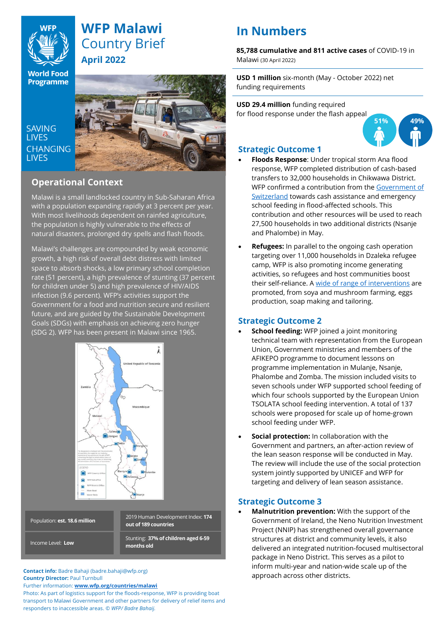

## **WFP Malawi** Country Brief **April 2022**

**World Food Programme** 

**SAVING LIVES CHANGING LIVES** 



## **Operational Context**

Malawi is a small landlocked country in Sub-Saharan Africa with a population expanding rapidly at 3 percent per year. With most livelihoods dependent on rainfed agriculture, the population is highly vulnerable to the effects of natural disasters, prolonged dry spells and flash floods.

Malawi's challenges are compounded by weak economic growth, a high risk of overall debt distress with limited space to absorb shocks, a low primary school completion rate (51 percent), a high prevalence of stunting (37 percent for children under 5) and high prevalence of HIV/AIDS infection (9.6 percent). WFP's activities support the Government for a food and nutrition secure and resilient future, and are guided by the Sustainable Development Goals (SDGs) with emphasis on achieving zero hunger (SDG 2). WFP has been present in Malawi since 1965.



**Contact info:** Badre Bahaji (badre.bahaji@wfp.org) **Country Director:** Paul Turnbull

Further information: **[www.wfp.org/countries/malawi](http://www.wfp.org/countries/malawi)**

Photo: As part of logistics support for the floods-response, WFP is providing boat transport to Malawi Government and other partners for delivery of relief items and responders to inaccessible areas. *© WFP/ Badre Bahaij.* 

# **In Numbers**

**85,788 cumulative and 811 active cases** of COVID-19 in Malawi (30 April 2022)

**USD 1 million** six-month (May - October 2022) net funding requirements

**USD 29.4 million** funding required for flood response under the flash appeal



### **Strategic Outcome 1**

- **Floods Response**: Under tropical storm Ana flood response, WFP completed distribution of cash-based transfers to 32,000 households in Chikwawa District. WFP confirmed a contribution from th[e Government of](https://twitter.com/WFP_Malawi/status/1514230016715935747?s=20&t=TlWfUu9_ir7Ot_74MUc-2g)  [Switzerland](https://twitter.com/WFP_Malawi/status/1514230016715935747?s=20&t=TlWfUu9_ir7Ot_74MUc-2g) towards cash assistance and emergency school feeding in flood-affected schools. This contribution and other resources will be used to reach 27,500 households in two additional districts (Nsanje and Phalombe) in May.
- **Refugees:** In parallel to the ongoing cash operation targeting over 11,000 households in Dzaleka refugee camp, WFP is also promoting income generating activities, so refugees and host communities boost their self-reliance. [A wide of range of interventions](https://twitter.com/WFP_Malawi/status/1507258810846564376) are promoted, from soya and mushroom farming, eggs production, soap making and tailoring.

### **Strategic Outcome 2**

- **School feeding:** WFP joined a joint monitoring technical team with representation from the European Union, Government ministries and members of the AFIKEPO programme to document lessons on programme implementation in Mulanje, Nsanje, Phalombe and Zomba. The mission included visits to seven schools under WFP supported school feeding of which four schools supported by the European Union TSOLATA school feeding intervention. A total of 137 schools were proposed for scale up of home-grown school feeding under WFP.
- **Social protection:** In collaboration with the Government and partners, an after-action review of the lean season response will be conducted in May. The review will include the use of the social protection system jointly supported by UNICEF and WFP for targeting and delivery of lean season assistance.

### **Strategic Outcome 3**

• **Malnutrition prevention:** With the support of the Government of Ireland, the Neno Nutrition Investment Project (NNIP) has strengthened overall governance structures at district and community levels, it also delivered an integrated nutrition-focused multisectoral package in Neno District. This serves as a pilot to inform multi-year and nation-wide scale up of the approach across other districts.